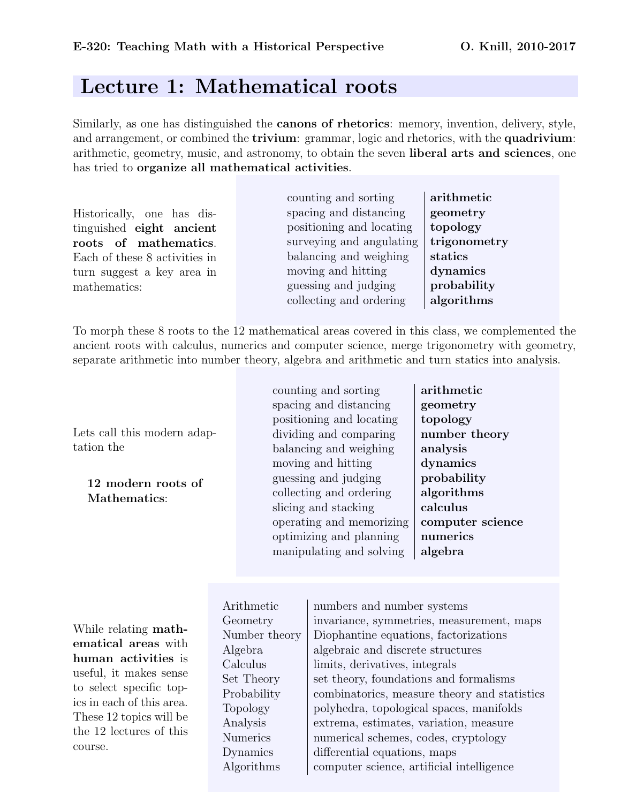## Lecture 1: Mathematical roots

Similarly, as one has distinguished the canons of rhetorics: memory, invention, delivery, style, and arrangement, or combined the **trivium**: grammar, logic and rhetorics, with the **quadrivium**: arithmetic, geometry, music, and astronomy, to obtain the seven liberal arts and sciences, one has tried to organize all mathematical activities.

Historically, one has distinguished eight ancient roots of mathematics. Each of these 8 activities in turn suggest a key area in mathematics:

counting and sorting arithmetic spacing and distancing **geometry** positioning and locating  $\vert$  topology surveying and angulating  $\vert$  trigonometry balancing and weighing  $\vert$  statics moving and hitting dynamics guessing and judging  $\vert$  **probability** collecting and ordering  $|$  algorithms

To morph these 8 roots to the 12 mathematical areas covered in this class, we complemented the ancient roots with calculus, numerics and computer science, merge trigonometry with geometry, separate arithmetic into number theory, algebra and arithmetic and turn statics into analysis.

Lets call this modern adaptation the

12 modern roots of Mathematics:

counting and sorting arithmetic spacing and distancing  $\qquad$  geometry positioning and locating  $\vert$  topology dividing and comparing  $\parallel$  number theory balancing and weighing  $\Box$  analysis moving and hitting dynamics guessing and judging probability collecting and ordering  $\Box$  algorithms slicing and stacking  $\vert$  calculus operating and memorizing  $\alpha$  computer science optimizing and planning  $\parallel$  numerics manipulating and solving  $|$  algebra

While relating mathematical areas with human activities is useful, it makes sense to select specific topics in each of this area. These 12 topics will be the 12 lectures of this course.

Arithmetic numbers and number systems Geometry invariance, symmetries, measurement, maps Number theory Diophantine equations, factorizations Algebra | algebraic and discrete structures Calculus limits, derivatives, integrals Set Theory Set theory, foundations and formalisms Probability combinatorics, measure theory and statistics Topology polyhedra, topological spaces, manifolds Analysis extrema, estimates, variation, measure Numerics numerical schemes, codes, cryptology Dynamics differential equations, maps Algorithms computer science, artificial intelligence